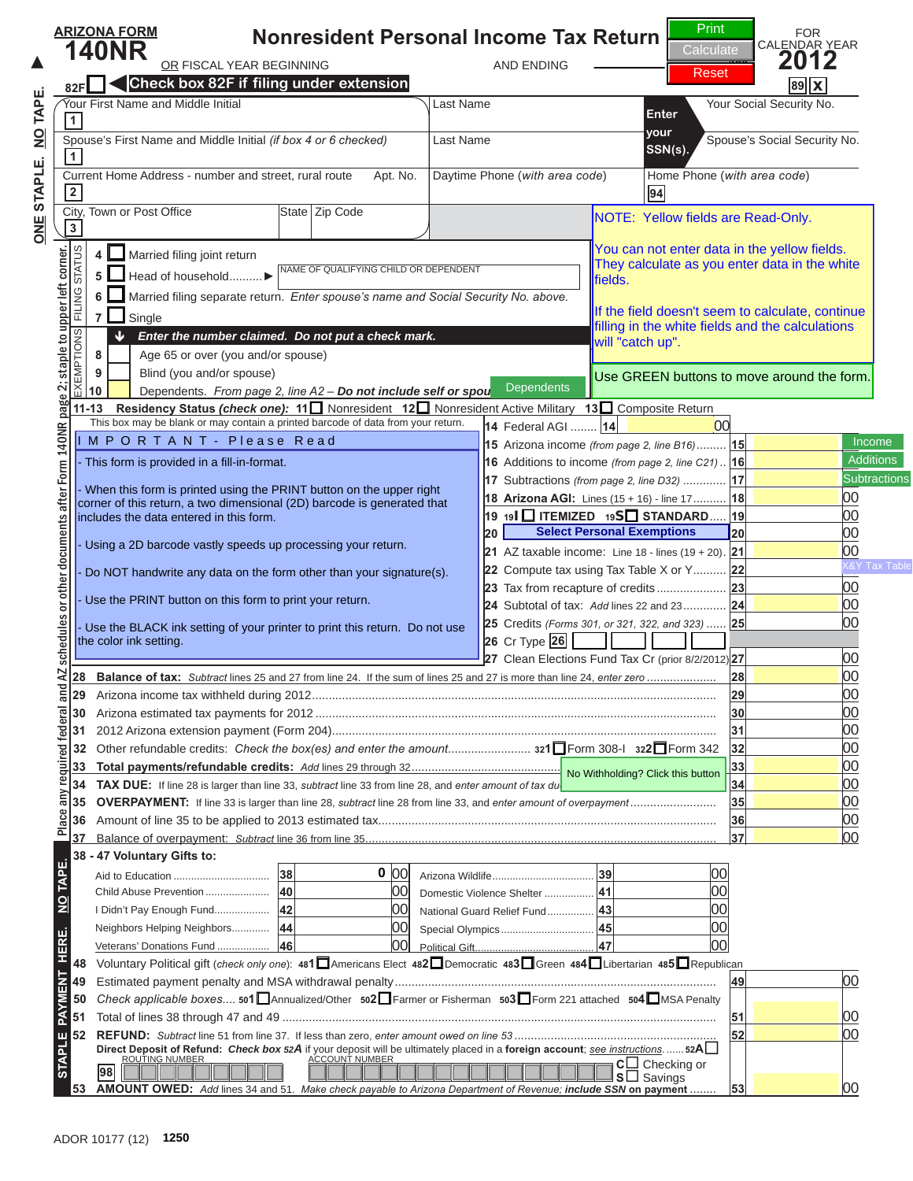## **Nonresident Personal Income Tax Return ARIZONA FORM** OR FISCAL YEAR BEGINNING AND ENDING **<sup>66</sup> 2012 82F Check box 82F if filing under extension** N O T I C E



 $\overline{\phantom{a}}$ 

## Current Home Address - number and street, rural route Apt. No. Daytime Phone (*with area code*) Home Phone (*with area code*) **2 94** N O T I C ENOTE: Yellow fields are Read-Only.

You can not enter data in the yellow fields. They calculate as you enter data in the white fields.

**88** If<sup>the field doesn't seem to calculate, continue in the valuate continue in the valuate continue in the calculations</sup> If the field doesn't seem to calculate, continue filling in the white fields and the calculations will "catch up".

 $\mathbf{B}$   $\mathbf{B}$   $\mathbf{B}$   $\mathbf{B}$   $\mathbf{B}$ **10** Dependents. *From page 2, line A2 – Do not include self or spouse.* this is NOT a coll Dependents DUse GREEN buttons to move around the composite return of the composite  $\mathbf{R}$ **Dependents** Number GREEN buttons to move around the form.

I M P O R T A N T - P lease Read Income in the set of the set of the set of the set of the set of the set of the set of the set of the set of the set of the set of the set of the set of the set of the set of the set of the

**8 Age 65 or over (you and/or spouse)** 

- This form is provided in a fill-in-format.

**5** Head of household ..........*-*

 $\overline{\phantom{a}}$ 

**1**<br> $\Box$ 

F $\sqcup$  *ic* 

EXEMPTIONS

- When this form is printed using the PRINT button on the upper right corner of this return, a two dimensional (2D) barcode is generated that includes the data entered in this form.

*Enter the number claimed. Do not put a check mark.*

**6** Married filing separate return. *Enter spouse's name and Social Security No. above.*

- Using a 2D barcode vastly speeds up processing your return.

- Do NOT handwrite any data on the form other than your signature(s).

- Use the PRINT button on this form to print your return.

- Use the BLACK ink setting of your printer to print this return. Do not use the color ink setting.



#### **25** Credits *(Forms 301, or 321, 322, and 323)* ...... **25** 00 **26** Cr Type **27** Clean Elections Fund Tax Cr (prior 8/2/2012) **27** 00 **28 Balance of tax:** *Subtract* lines 25 and 27 from line 24. If the sum of lines 25 and 27 is more than line 24, *enter zero* ..................... **28** 00 **29** Arizona income tax withheld during 2012 .......................................................................................................................... **29** 00 click on the PRINT button. **26** BLACK ink setting of your printer to print this return. Do not use **DICTE0TE1UITI:**

**32** Other refundable credits: *Check the box(es) and enter the amount* ......................... **321**-Form 308-I **<sup>322</sup>**-**33 Total payments/refundable credits:** *Add* lines 29 through 32 ............................................................................................ **33** 00 No Withholding? Click this button **34 TAX DUE:** If line 28 is larger than line 33, *subtract* line 33 from line 28, and *enter amount of tax due. Skip lines 35, 36 and 37* .......... **34** 00 **35 OVERPAYMENT:** If line 33 is larger than line 28, *subtract* line 28 from line 33, and *enter amount of overpayment* .......................... **35** 00 **36** Amount of line 35 to be applied to 2013 estimated tax ...................................................................................................... **36** 00 Clicking the PRINT button  **38 - 47 Voluntary Gifts to: <sup>48</sup>** Voluntary Political gift (*check only one*): **<sup>481</sup>**-Americans Elect **<sup>482</sup>**-Democratic **<sup>483</sup>**-Green **<sup>484</sup>**-Libertarian **<sup>485</sup>**-**49** Estimated payment penalty and MSA withdrawal penalty ................................................................................................. **49** 00  $\blacksquare$ **51** Total of lines 38 through 47 and 49 ................................................................................................................................... **51** 00 update the barcode. Aid to Education ................................. **38** 00 Arizona Wildlife ................................... **39** 00 Child Abuse Prevention ...................... **40** 00 Domestic Violence Shelter ................. **41** 00 will perform the calculations Neighbors Helping Neighbors............. **44** 00 Special Olympics ................................ **45** 00 Veterans' Donations Fund .................. **46** 00 Political Gift......................................... **47** 00 one last time and

# N O T I C E

Savings **53 AMOUNT OWED:** *Add* lines 34 and 51. *Make check payable to Arizona Department of Revenue; include SSN* **on payment** ........ **53**<sup>00</sup>

ROUTING NUMBER ACCOUNT NUMBER **<sup>C</sup>**-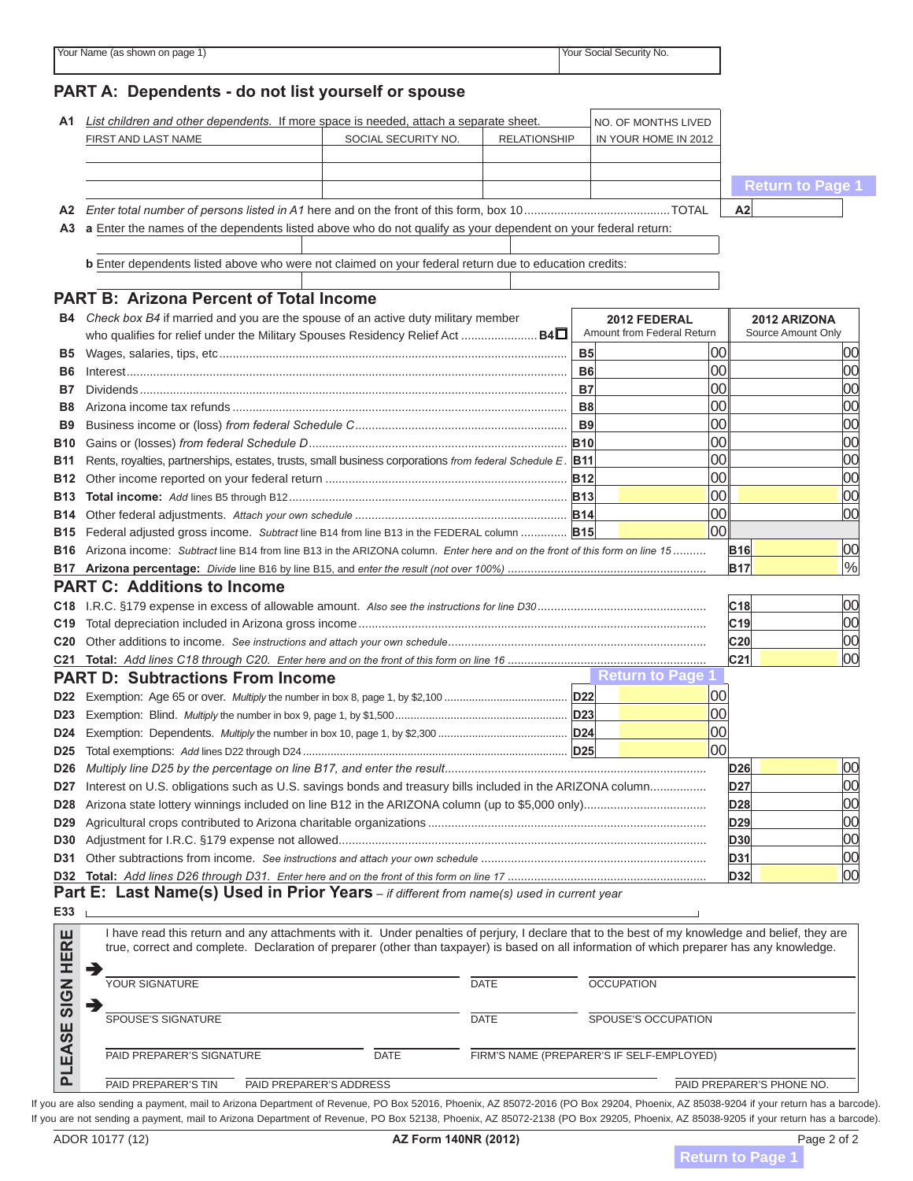|                                      |                                                                                                                                                                                                                                                                                                | List children and other dependents. If more space is needed, attach a separate sheet. |                     |            | NO. OF MONTHS LIVED        |                        |                         |  |  |  |  |
|--------------------------------------|------------------------------------------------------------------------------------------------------------------------------------------------------------------------------------------------------------------------------------------------------------------------------------------------|---------------------------------------------------------------------------------------|---------------------|------------|----------------------------|------------------------|-------------------------|--|--|--|--|
|                                      | FIRST AND LAST NAME                                                                                                                                                                                                                                                                            | SOCIAL SECURITY NO.                                                                   | <b>RELATIONSHIP</b> |            | IN YOUR HOME IN 2012       |                        |                         |  |  |  |  |
|                                      |                                                                                                                                                                                                                                                                                                |                                                                                       |                     |            |                            |                        | <b>Return to Page 1</b> |  |  |  |  |
|                                      |                                                                                                                                                                                                                                                                                                |                                                                                       |                     |            |                            | A2                     |                         |  |  |  |  |
|                                      | A3 a Enter the names of the dependents listed above who do not qualify as your dependent on your federal return:                                                                                                                                                                               |                                                                                       |                     |            |                            |                        |                         |  |  |  |  |
|                                      | b Enter dependents listed above who were not claimed on your federal return due to education credits:                                                                                                                                                                                          |                                                                                       |                     |            |                            |                        |                         |  |  |  |  |
|                                      | <b>PART B: Arizona Percent of Total Income</b>                                                                                                                                                                                                                                                 |                                                                                       |                     |            |                            |                        |                         |  |  |  |  |
|                                      | <b>B4</b> Check box B4 if married and you are the spouse of an active duty military member                                                                                                                                                                                                     |                                                                                       |                     |            | 2012 FEDERAL               |                        | 2012 ARIZONA            |  |  |  |  |
|                                      | who qualifies for relief under the Military Spouses Residency Relief Act  B4                                                                                                                                                                                                                   |                                                                                       |                     |            | Amount from Federal Return |                        | Source Amount Only      |  |  |  |  |
|                                      |                                                                                                                                                                                                                                                                                                |                                                                                       |                     | <b>B5</b>  | 00                         |                        |                         |  |  |  |  |
| B6                                   |                                                                                                                                                                                                                                                                                                |                                                                                       |                     | <b>B6</b>  | 00                         |                        |                         |  |  |  |  |
| В7                                   |                                                                                                                                                                                                                                                                                                |                                                                                       |                     | B7         | 00                         |                        |                         |  |  |  |  |
| B8                                   |                                                                                                                                                                                                                                                                                                |                                                                                       |                     | B8         | 00                         |                        |                         |  |  |  |  |
| <b>B</b> 9                           |                                                                                                                                                                                                                                                                                                |                                                                                       |                     | <b>B9</b>  | 00                         |                        |                         |  |  |  |  |
| <b>B</b> 10                          |                                                                                                                                                                                                                                                                                                |                                                                                       |                     | <b>B10</b> | 00<br>00                   |                        |                         |  |  |  |  |
| <b>B11</b>                           | Rents, royalties, partnerships, estates, trusts, small business corporations from federal Schedule E. B11                                                                                                                                                                                      |                                                                                       |                     |            | 00                         |                        |                         |  |  |  |  |
| <b>B12</b><br><b>B</b> 13            |                                                                                                                                                                                                                                                                                                |                                                                                       |                     | <b>B12</b> | 00                         |                        |                         |  |  |  |  |
|                                      |                                                                                                                                                                                                                                                                                                |                                                                                       |                     |            | 00                         |                        |                         |  |  |  |  |
|                                      | B15 Federal adjusted gross income. Subtract line B14 from line B13 in the FEDERAL column  B15                                                                                                                                                                                                  |                                                                                       |                     |            | 00 <sup>1</sup>            |                        |                         |  |  |  |  |
|                                      | B16 Arizona income: Subtract line B14 from line B13 in the ARIZONA column. Enter here and on the front of this form on line 15                                                                                                                                                                 |                                                                                       |                     |            |                            | <b>B16</b>             |                         |  |  |  |  |
|                                      |                                                                                                                                                                                                                                                                                                |                                                                                       |                     |            |                            | <b>B17</b>             |                         |  |  |  |  |
|                                      | <b>PART C: Additions to Income</b>                                                                                                                                                                                                                                                             |                                                                                       |                     |            |                            |                        |                         |  |  |  |  |
|                                      |                                                                                                                                                                                                                                                                                                |                                                                                       |                     |            |                            |                        |                         |  |  |  |  |
|                                      |                                                                                                                                                                                                                                                                                                |                                                                                       |                     |            |                            |                        |                         |  |  |  |  |
|                                      |                                                                                                                                                                                                                                                                                                |                                                                                       |                     |            |                            | C <sub>18</sub><br>C19 |                         |  |  |  |  |
|                                      |                                                                                                                                                                                                                                                                                                |                                                                                       |                     |            |                            | C <sub>20</sub>        |                         |  |  |  |  |
|                                      |                                                                                                                                                                                                                                                                                                |                                                                                       |                     |            |                            | C <sub>21</sub>        |                         |  |  |  |  |
|                                      | <b>PART D: Subtractions From Income</b>                                                                                                                                                                                                                                                        |                                                                                       |                     |            | <b>Return to Page 1</b>    |                        |                         |  |  |  |  |
|                                      |                                                                                                                                                                                                                                                                                                |                                                                                       |                     |            | 00                         |                        |                         |  |  |  |  |
|                                      |                                                                                                                                                                                                                                                                                                |                                                                                       |                     | <b>D23</b> | $00\,$                     |                        |                         |  |  |  |  |
|                                      |                                                                                                                                                                                                                                                                                                |                                                                                       |                     |            | 00                         |                        |                         |  |  |  |  |
| D <sub>25</sub>                      |                                                                                                                                                                                                                                                                                                |                                                                                       |                     |            | 00                         |                        |                         |  |  |  |  |
| D <sub>26</sub>                      |                                                                                                                                                                                                                                                                                                |                                                                                       |                     |            |                            | <b>D26</b>             |                         |  |  |  |  |
| D27                                  | Interest on U.S. obligations such as U.S. savings bonds and treasury bills included in the ARIZONA column                                                                                                                                                                                      |                                                                                       |                     |            |                            | D <sub>27</sub>        |                         |  |  |  |  |
| D <sub>28</sub>                      |                                                                                                                                                                                                                                                                                                |                                                                                       |                     |            |                            | D <sub>28</sub>        |                         |  |  |  |  |
| D <sub>29</sub>                      |                                                                                                                                                                                                                                                                                                |                                                                                       |                     |            |                            | D <sub>29</sub>        |                         |  |  |  |  |
| <b>D30</b>                           |                                                                                                                                                                                                                                                                                                |                                                                                       |                     |            |                            | D30                    |                         |  |  |  |  |
| D31                                  |                                                                                                                                                                                                                                                                                                |                                                                                       |                     |            |                            | D31                    |                         |  |  |  |  |
|                                      |                                                                                                                                                                                                                                                                                                |                                                                                       |                     |            |                            | D32                    |                         |  |  |  |  |
|                                      | <b>Part E: Last Name(s) Used in Prior Years</b> – if different from name(s) used in current year                                                                                                                                                                                               |                                                                                       |                     |            |                            |                        |                         |  |  |  |  |
| E33                                  |                                                                                                                                                                                                                                                                                                |                                                                                       |                     |            |                            |                        |                         |  |  |  |  |
| RE                                   | I have read this return and any attachments with it. Under penalties of perjury, I declare that to the best of my knowledge and belief, they are<br>true, correct and complete. Declaration of preparer (other than taxpayer) is based on all information of which preparer has any knowledge. |                                                                                       |                     |            |                            |                        |                         |  |  |  |  |
| 띞                                    | →<br>YOUR SIGNATURE                                                                                                                                                                                                                                                                            |                                                                                       | <b>DATE</b>         |            | <b>OCCUPATION</b>          |                        |                         |  |  |  |  |
| SIGN<br>ш<br>$\overline{\mathbf{S}}$ | SPOUSE'S SIGNATURE                                                                                                                                                                                                                                                                             |                                                                                       | <b>DATE</b>         |            | SPOUSE'S OCCUPATION        |                        |                         |  |  |  |  |

PAID PREPARER'S TIN PAID PREPARER'S ADDRESS PHONE NO.

If you are also sending a payment, mail to Arizona Department of Revenue, PO Box 52016, Phoenix, AZ 85072-2016 (PO Box 29204, Phoenix, AZ 85038-9204 if your return has a barcode). If you are not sending a payment, mail to Arizona Department of Revenue, PO Box 52138, Phoenix, AZ 85072-2138 (PO Box 29205, Phoenix, AZ 85038-9205 if your return has a barcode).  $\boldsymbol{\zeta}^{''}$